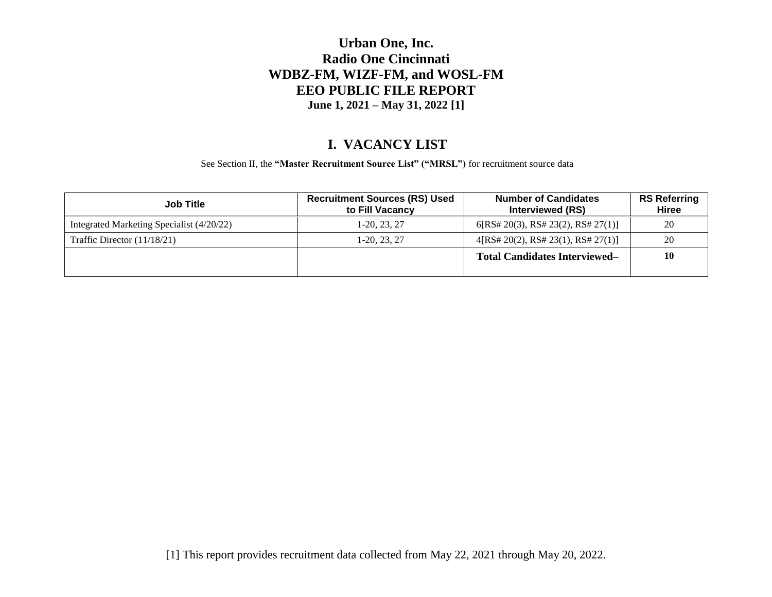### **Urban One, Inc. Radio One Cincinnati WDBZ-FM, WIZF-FM, and WOSL-FM EEO PUBLIC FILE REPORT June 1, 2021 – May 31, 2022 [1]**

### **I. VACANCY LIST**

See Section II, the **"Master Recruitment Source List" ("MRSL")** for recruitment source data

| <b>Job Title</b>                          | <b>Recruitment Sources (RS) Used</b><br>to Fill Vacancy | <b>Number of Candidates</b><br><b>Interviewed (RS)</b> | <b>RS Referring</b><br>Hiree |
|-------------------------------------------|---------------------------------------------------------|--------------------------------------------------------|------------------------------|
| Integrated Marketing Specialist (4/20/22) | 1-20, 23, 27                                            | 6[RS# 20(3), RS# 23(2), RS# 27(1)]                     | 20                           |
| Traffic Director $(11/18/21)$             | $1-20, 23, 27$                                          | 4[RS# 20(2), RS# 23(1), RS# 27(1)]                     | 20                           |
|                                           |                                                         | <b>Total Candidates Interviewed–</b>                   | <b>10</b>                    |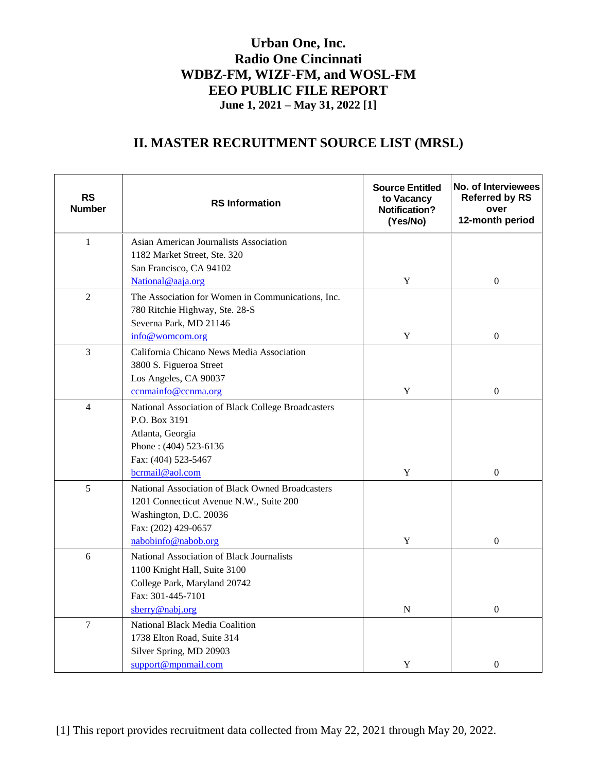## **Urban One, Inc. Radio One Cincinnati WDBZ-FM, WIZF-FM, and WOSL-FM EEO PUBLIC FILE REPORT June 1, 2021 – May 31, 2022 [1]**

# **II. MASTER RECRUITMENT SOURCE LIST (MRSL)**

| $\mathbf{1}$<br>Asian American Journalists Association<br>1182 Market Street, Ste. 320<br>San Francisco, CA 94102<br>$\mathbf Y$<br>$\boldsymbol{0}$<br>National@aaja.org<br>$\overline{2}$<br>The Association for Women in Communications, Inc.<br>780 Ritchie Highway, Ste. 28-S<br>Severna Park, MD 21146<br>info@womcom.org<br>$\mathbf Y$<br>$\boldsymbol{0}$<br>$\overline{3}$<br>California Chicano News Media Association<br>3800 S. Figueroa Street<br>Los Angeles, CA 90037<br>ccnmainfo@ccnma.org<br>$\mathbf Y$<br>$\boldsymbol{0}$<br>$\overline{4}$<br>National Association of Black College Broadcasters<br>P.O. Box 3191<br>Atlanta, Georgia<br>Phone: (404) 523-6136<br>Fax: (404) 523-5467<br>$\mathbf Y$<br>$\overline{0}$<br>bcrmail@aol.com<br>5<br>National Association of Black Owned Broadcasters | <b>RS</b><br><b>Number</b> | <b>RS</b> Information | <b>Source Entitled</b><br>to Vacancy<br><b>Notification?</b><br>(Yes/No) | No. of Interviewees<br><b>Referred by RS</b><br>over<br>12-month period |
|---------------------------------------------------------------------------------------------------------------------------------------------------------------------------------------------------------------------------------------------------------------------------------------------------------------------------------------------------------------------------------------------------------------------------------------------------------------------------------------------------------------------------------------------------------------------------------------------------------------------------------------------------------------------------------------------------------------------------------------------------------------------------------------------------------------------------|----------------------------|-----------------------|--------------------------------------------------------------------------|-------------------------------------------------------------------------|
|                                                                                                                                                                                                                                                                                                                                                                                                                                                                                                                                                                                                                                                                                                                                                                                                                           |                            |                       |                                                                          |                                                                         |
|                                                                                                                                                                                                                                                                                                                                                                                                                                                                                                                                                                                                                                                                                                                                                                                                                           |                            |                       |                                                                          |                                                                         |
|                                                                                                                                                                                                                                                                                                                                                                                                                                                                                                                                                                                                                                                                                                                                                                                                                           |                            |                       |                                                                          |                                                                         |
|                                                                                                                                                                                                                                                                                                                                                                                                                                                                                                                                                                                                                                                                                                                                                                                                                           |                            |                       |                                                                          |                                                                         |
|                                                                                                                                                                                                                                                                                                                                                                                                                                                                                                                                                                                                                                                                                                                                                                                                                           |                            |                       |                                                                          |                                                                         |
|                                                                                                                                                                                                                                                                                                                                                                                                                                                                                                                                                                                                                                                                                                                                                                                                                           |                            |                       |                                                                          |                                                                         |
|                                                                                                                                                                                                                                                                                                                                                                                                                                                                                                                                                                                                                                                                                                                                                                                                                           |                            |                       |                                                                          |                                                                         |
|                                                                                                                                                                                                                                                                                                                                                                                                                                                                                                                                                                                                                                                                                                                                                                                                                           |                            |                       |                                                                          |                                                                         |
|                                                                                                                                                                                                                                                                                                                                                                                                                                                                                                                                                                                                                                                                                                                                                                                                                           |                            |                       |                                                                          |                                                                         |
|                                                                                                                                                                                                                                                                                                                                                                                                                                                                                                                                                                                                                                                                                                                                                                                                                           |                            |                       |                                                                          |                                                                         |
|                                                                                                                                                                                                                                                                                                                                                                                                                                                                                                                                                                                                                                                                                                                                                                                                                           |                            |                       |                                                                          |                                                                         |
|                                                                                                                                                                                                                                                                                                                                                                                                                                                                                                                                                                                                                                                                                                                                                                                                                           |                            |                       |                                                                          |                                                                         |
|                                                                                                                                                                                                                                                                                                                                                                                                                                                                                                                                                                                                                                                                                                                                                                                                                           |                            |                       |                                                                          |                                                                         |
|                                                                                                                                                                                                                                                                                                                                                                                                                                                                                                                                                                                                                                                                                                                                                                                                                           |                            |                       |                                                                          |                                                                         |
|                                                                                                                                                                                                                                                                                                                                                                                                                                                                                                                                                                                                                                                                                                                                                                                                                           |                            |                       |                                                                          |                                                                         |
|                                                                                                                                                                                                                                                                                                                                                                                                                                                                                                                                                                                                                                                                                                                                                                                                                           |                            |                       |                                                                          |                                                                         |
|                                                                                                                                                                                                                                                                                                                                                                                                                                                                                                                                                                                                                                                                                                                                                                                                                           |                            |                       |                                                                          |                                                                         |
|                                                                                                                                                                                                                                                                                                                                                                                                                                                                                                                                                                                                                                                                                                                                                                                                                           |                            |                       |                                                                          |                                                                         |
|                                                                                                                                                                                                                                                                                                                                                                                                                                                                                                                                                                                                                                                                                                                                                                                                                           |                            |                       |                                                                          |                                                                         |
| 1201 Connecticut Avenue N.W., Suite 200                                                                                                                                                                                                                                                                                                                                                                                                                                                                                                                                                                                                                                                                                                                                                                                   |                            |                       |                                                                          |                                                                         |
| Washington, D.C. 20036                                                                                                                                                                                                                                                                                                                                                                                                                                                                                                                                                                                                                                                                                                                                                                                                    |                            |                       |                                                                          |                                                                         |
| Fax: (202) 429-0657<br>$\mathbf Y$<br>$\overline{0}$<br>nabobinfo@nabob.org                                                                                                                                                                                                                                                                                                                                                                                                                                                                                                                                                                                                                                                                                                                                               |                            |                       |                                                                          |                                                                         |
|                                                                                                                                                                                                                                                                                                                                                                                                                                                                                                                                                                                                                                                                                                                                                                                                                           |                            |                       |                                                                          |                                                                         |
| 6<br>National Association of Black Journalists                                                                                                                                                                                                                                                                                                                                                                                                                                                                                                                                                                                                                                                                                                                                                                            |                            |                       |                                                                          |                                                                         |
| 1100 Knight Hall, Suite 3100<br>College Park, Maryland 20742                                                                                                                                                                                                                                                                                                                                                                                                                                                                                                                                                                                                                                                                                                                                                              |                            |                       |                                                                          |                                                                         |
| Fax: 301-445-7101                                                                                                                                                                                                                                                                                                                                                                                                                                                                                                                                                                                                                                                                                                                                                                                                         |                            |                       |                                                                          |                                                                         |
| sberry@nabj.org<br>$\theta$<br>N                                                                                                                                                                                                                                                                                                                                                                                                                                                                                                                                                                                                                                                                                                                                                                                          |                            |                       |                                                                          |                                                                         |
| $\overline{7}$<br>National Black Media Coalition                                                                                                                                                                                                                                                                                                                                                                                                                                                                                                                                                                                                                                                                                                                                                                          |                            |                       |                                                                          |                                                                         |
| 1738 Elton Road, Suite 314                                                                                                                                                                                                                                                                                                                                                                                                                                                                                                                                                                                                                                                                                                                                                                                                |                            |                       |                                                                          |                                                                         |
| Silver Spring, MD 20903                                                                                                                                                                                                                                                                                                                                                                                                                                                                                                                                                                                                                                                                                                                                                                                                   |                            |                       |                                                                          |                                                                         |
| support@mpnmail.com<br>Y<br>$\boldsymbol{0}$                                                                                                                                                                                                                                                                                                                                                                                                                                                                                                                                                                                                                                                                                                                                                                              |                            |                       |                                                                          |                                                                         |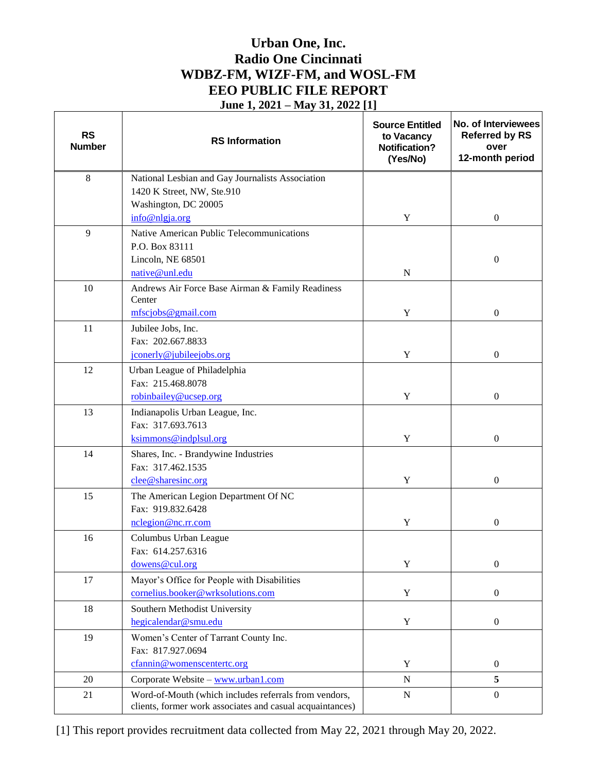## **Urban One, Inc. Radio One Cincinnati WDBZ-FM, WIZF-FM, and WOSL-FM EEO PUBLIC FILE REPORT June 1, 2021 – May 31, 2022 [1]**

| <b>RS</b><br><b>Number</b> | <b>RS</b> Information                                      | <b>Source Entitled</b><br>to Vacancy<br><b>Notification?</b><br>(Yes/No) | No. of Interviewees<br><b>Referred by RS</b><br>over<br>12-month period |
|----------------------------|------------------------------------------------------------|--------------------------------------------------------------------------|-------------------------------------------------------------------------|
| $\,8\,$                    | National Lesbian and Gay Journalists Association           |                                                                          |                                                                         |
|                            | 1420 K Street, NW, Ste.910                                 |                                                                          |                                                                         |
|                            | Washington, DC 20005                                       |                                                                          |                                                                         |
|                            | info@nlgja.org                                             | Y                                                                        | $\boldsymbol{0}$                                                        |
| 9                          | Native American Public Telecommunications                  |                                                                          |                                                                         |
|                            | P.O. Box 83111                                             |                                                                          |                                                                         |
|                            | Lincoln, NE 68501                                          |                                                                          | $\boldsymbol{0}$                                                        |
|                            | native@unl.edu                                             | $\mathbf N$                                                              |                                                                         |
| 10                         | Andrews Air Force Base Airman & Family Readiness<br>Center |                                                                          |                                                                         |
|                            | mfscjobs@gmail.com                                         | Y                                                                        | $\boldsymbol{0}$                                                        |
| 11                         |                                                            |                                                                          |                                                                         |
|                            | Jubilee Jobs, Inc.<br>Fax: 202.667.8833                    |                                                                          |                                                                         |
|                            | jconerly@jubileejobs.org                                   | Y                                                                        | $\overline{0}$                                                          |
| 12                         | Urban League of Philadelphia                               |                                                                          |                                                                         |
|                            | Fax: 215.468.8078                                          |                                                                          |                                                                         |
|                            | robinbailey@ucsep.org                                      | Y                                                                        | $\boldsymbol{0}$                                                        |
| 13                         | Indianapolis Urban League, Inc.                            |                                                                          |                                                                         |
|                            | Fax: 317.693.7613                                          |                                                                          |                                                                         |
|                            | ksimmons@indplsul.org                                      | Y                                                                        | $\mathbf{0}$                                                            |
| 14                         | Shares, Inc. - Brandywine Industries                       |                                                                          |                                                                         |
|                            | Fax: 317.462.1535                                          |                                                                          |                                                                         |
|                            | clee@sharesinc.org                                         | Y                                                                        | $\boldsymbol{0}$                                                        |
| 15                         | The American Legion Department Of NC                       |                                                                          |                                                                         |
|                            | Fax: 919.832.6428                                          |                                                                          |                                                                         |
|                            | nclegion@nc.rr.com                                         | Y                                                                        | $\boldsymbol{0}$                                                        |
| 16                         | Columbus Urban League                                      |                                                                          |                                                                         |
|                            | Fax: 614.257.6316                                          |                                                                          |                                                                         |
|                            | dowens@cul.org                                             | Y                                                                        | $\boldsymbol{0}$                                                        |
| 17                         | Mayor's Office for People with Disabilities                |                                                                          |                                                                         |
|                            | cornelius.booker@wrksolutions.com                          | $\mathbf Y$                                                              | $\boldsymbol{0}$                                                        |
| 18                         | Southern Methodist University                              |                                                                          |                                                                         |
|                            | hegicalendar@smu.edu                                       | $\mathbf Y$                                                              | $\boldsymbol{0}$                                                        |
| 19                         | Women's Center of Tarrant County Inc.                      |                                                                          |                                                                         |
|                            | Fax: 817.927.0694                                          |                                                                          |                                                                         |
|                            | cfannin@womenscentertc.org                                 | Y                                                                        | $\boldsymbol{0}$                                                        |
| 20                         | Corporate Website - www.urban1.com                         | ${\bf N}$                                                                | 5                                                                       |
| 21                         | Word-of-Mouth (which includes referrals from vendors,      | ${\bf N}$                                                                | $\mathbf{0}$                                                            |
|                            | clients, former work associates and casual acquaintances)  |                                                                          |                                                                         |

[1] This report provides recruitment data collected from May 22, 2021 through May 20, 2022.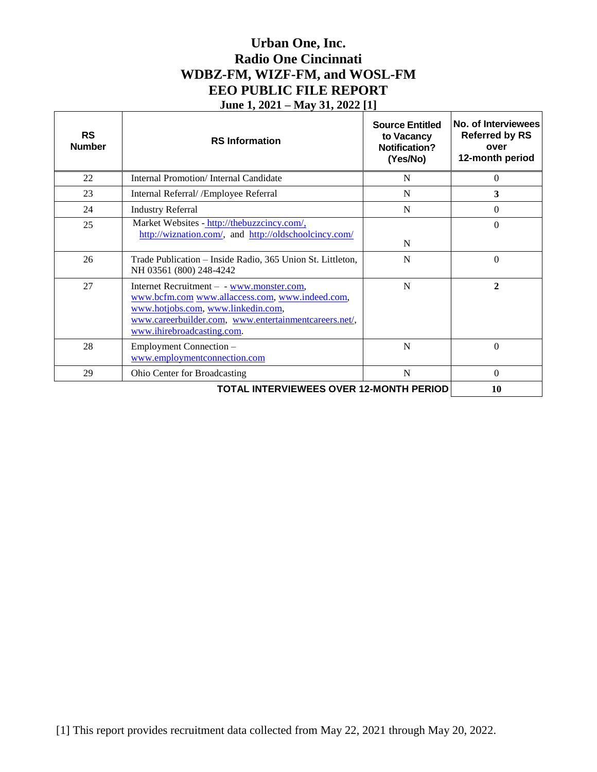## **Urban One, Inc. Radio One Cincinnati WDBZ-FM, WIZF-FM, and WOSL-FM EEO PUBLIC FILE REPORT June 1, 2021 – May 31, 2022 [1]**

| <b>RS</b><br><b>Number</b>                     | <b>RS</b> Information                                                                                                                                                                                                     | <b>Source Entitled</b><br>to Vacancy<br><b>Notification?</b><br>(Yes/No) | No. of Interviewees<br><b>Referred by RS</b><br>over<br>12-month period |
|------------------------------------------------|---------------------------------------------------------------------------------------------------------------------------------------------------------------------------------------------------------------------------|--------------------------------------------------------------------------|-------------------------------------------------------------------------|
| 22                                             | Internal Promotion/Internal Candidate                                                                                                                                                                                     | N                                                                        | $\theta$                                                                |
| 23                                             | Internal Referral/ / Employee Referral                                                                                                                                                                                    | N                                                                        | 3                                                                       |
| 24                                             | <b>Industry Referral</b>                                                                                                                                                                                                  | N                                                                        | $\Omega$                                                                |
| 25                                             | Market Websites - http://thebuzzcincy.com/,<br>http://wiznation.com/, and http://oldschoolcincy.com/                                                                                                                      | N                                                                        | $\Omega$                                                                |
| 26                                             | Trade Publication – Inside Radio, 365 Union St. Littleton,<br>NH 03561 (800) 248-4242                                                                                                                                     | N                                                                        | $\Omega$                                                                |
| 27                                             | Internet Recruitment – - www.monster.com,<br>www.bcfm.com www.allaccess.com, www.indeed.com,<br>www.hotjobs.com, www.linkedin.com,<br>www.careerbuilder.com, www.entertainmentcareers.net/,<br>www.ihirebroadcasting.com. | N                                                                        | $\overline{2}$                                                          |
| 28                                             | Employment Connection -<br>www.employmentconnection.com                                                                                                                                                                   | N                                                                        | $\Omega$                                                                |
| 29                                             | <b>Ohio Center for Broadcasting</b>                                                                                                                                                                                       | $\mathbf N$                                                              | $\theta$                                                                |
| <b>TOTAL INTERVIEWEES OVER 12-MONTH PERIOD</b> |                                                                                                                                                                                                                           |                                                                          | 10                                                                      |